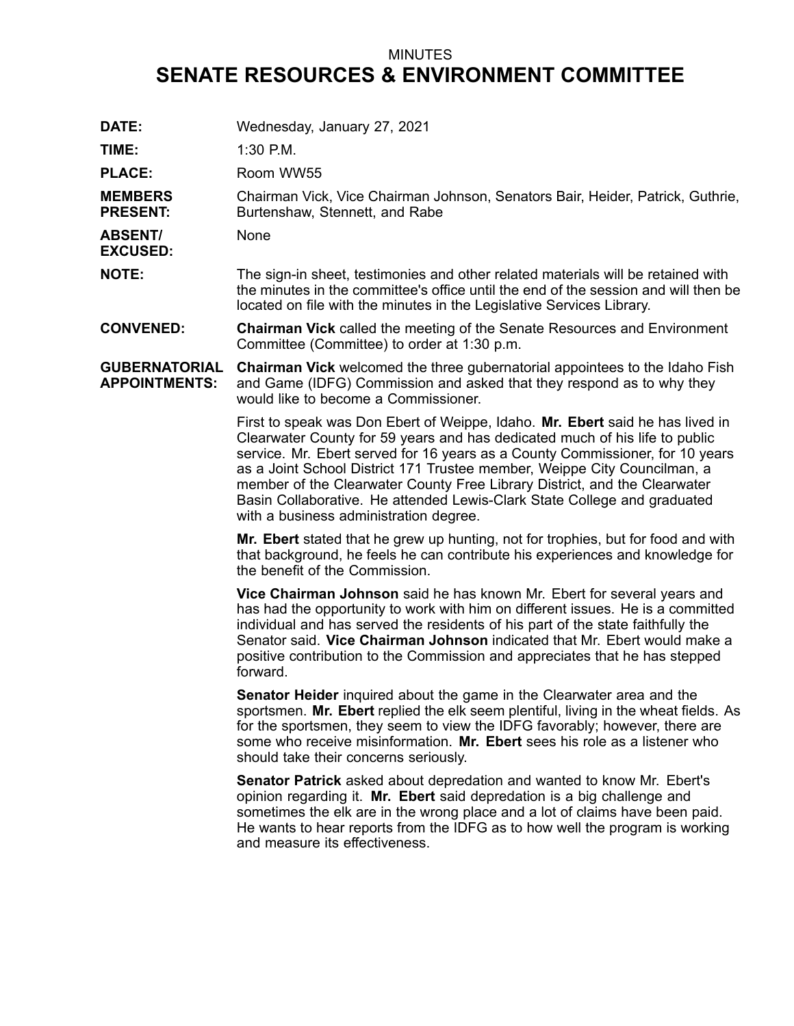## MINUTES **SENATE RESOURCES & ENVIRONMENT COMMITTEE**

| DATE:                                        | Wednesday, January 27, 2021                                                                                                                                                                                                                                                                                                                                                                                                                                                                                                  |
|----------------------------------------------|------------------------------------------------------------------------------------------------------------------------------------------------------------------------------------------------------------------------------------------------------------------------------------------------------------------------------------------------------------------------------------------------------------------------------------------------------------------------------------------------------------------------------|
| TIME:                                        | $1:30$ P.M.                                                                                                                                                                                                                                                                                                                                                                                                                                                                                                                  |
| <b>PLACE:</b>                                | Room WW55                                                                                                                                                                                                                                                                                                                                                                                                                                                                                                                    |
| <b>MEMBERS</b><br><b>PRESENT:</b>            | Chairman Vick, Vice Chairman Johnson, Senators Bair, Heider, Patrick, Guthrie,<br>Burtenshaw, Stennett, and Rabe                                                                                                                                                                                                                                                                                                                                                                                                             |
| <b>ABSENT/</b><br><b>EXCUSED:</b>            | None                                                                                                                                                                                                                                                                                                                                                                                                                                                                                                                         |
| <b>NOTE:</b>                                 | The sign-in sheet, testimonies and other related materials will be retained with<br>the minutes in the committee's office until the end of the session and will then be<br>located on file with the minutes in the Legislative Services Library.                                                                                                                                                                                                                                                                             |
| <b>CONVENED:</b>                             | <b>Chairman Vick</b> called the meeting of the Senate Resources and Environment<br>Committee (Committee) to order at 1:30 p.m.                                                                                                                                                                                                                                                                                                                                                                                               |
| <b>GUBERNATORIAL</b><br><b>APPOINTMENTS:</b> | <b>Chairman Vick</b> welcomed the three gubernatorial appointees to the Idaho Fish<br>and Game (IDFG) Commission and asked that they respond as to why they<br>would like to become a Commissioner.                                                                                                                                                                                                                                                                                                                          |
|                                              | First to speak was Don Ebert of Weippe, Idaho. Mr. Ebert said he has lived in<br>Clearwater County for 59 years and has dedicated much of his life to public<br>service. Mr. Ebert served for 16 years as a County Commissioner, for 10 years<br>as a Joint School District 171 Trustee member, Weippe City Councilman, a<br>member of the Clearwater County Free Library District, and the Clearwater<br>Basin Collaborative. He attended Lewis-Clark State College and graduated<br>with a business administration degree. |
|                                              | Mr. Ebert stated that he grew up hunting, not for trophies, but for food and with<br>that background, he feels he can contribute his experiences and knowledge for<br>the benefit of the Commission.                                                                                                                                                                                                                                                                                                                         |
|                                              | Vice Chairman Johnson said he has known Mr. Ebert for several years and<br>has had the opportunity to work with him on different issues. He is a committed<br>individual and has served the residents of his part of the state faithfully the<br>Senator said. Vice Chairman Johnson indicated that Mr. Ebert would make a<br>positive contribution to the Commission and appreciates that he has stepped<br>forward.                                                                                                        |
|                                              | Senator Heider inquired about the game in the Clearwater area and the<br>sportsmen. Mr. Ebert replied the elk seem plentiful, living in the wheat fields. As<br>for the sportsmen, they seem to view the IDFG favorably; however, there are<br>some who receive misinformation. Mr. Ebert sees his role as a listener who<br>should take their concerns seriously.                                                                                                                                                           |
|                                              | Senator Patrick asked about depredation and wanted to know Mr. Ebert's<br>opinion regarding it. Mr. Ebert said depredation is a big challenge and<br>sometimes the elk are in the wrong place and a lot of claims have been paid.<br>He wants to hear reports from the IDFG as to how well the program is working<br>and measure its effectiveness.                                                                                                                                                                          |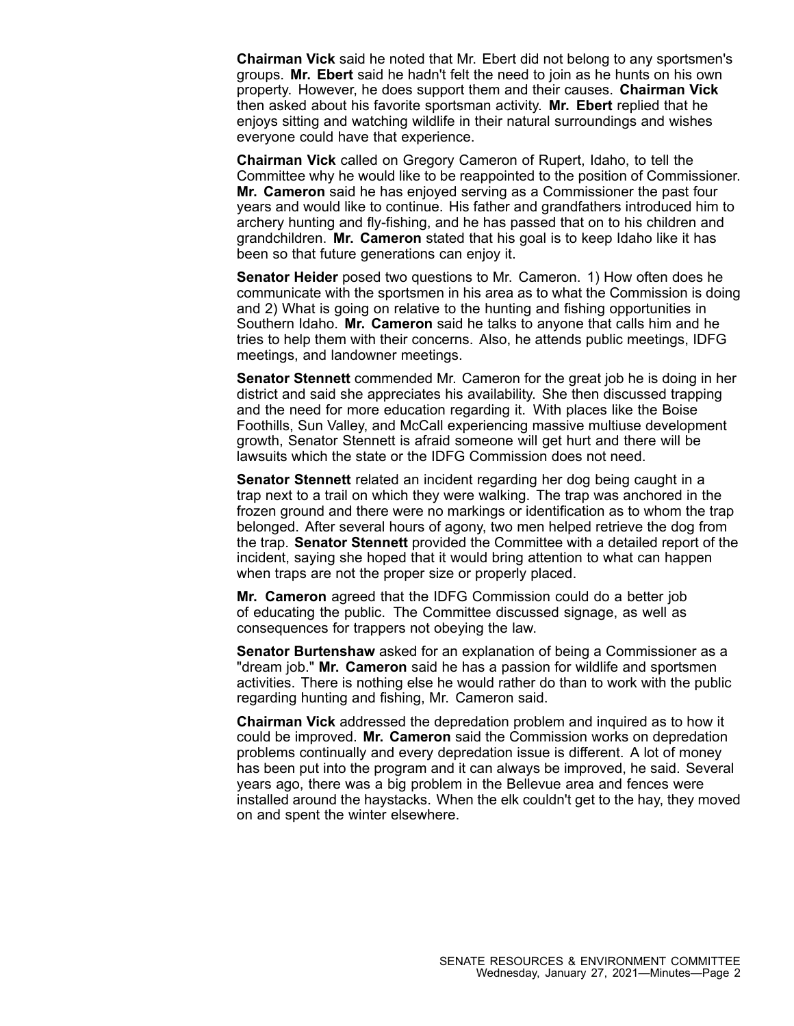**Chairman Vick** said he noted that Mr. Ebert did not belong to any sportsmen's groups. **Mr. Ebert** said he hadn't felt the need to join as he hunts on his own property. However, he does support them and their causes. **Chairman Vick** then asked about his favorite sportsman activity. **Mr. Ebert** replied that he enjoys sitting and watching wildlife in their natural surroundings and wishes everyone could have that experience.

**Chairman Vick** called on Gregory Cameron of Rupert, Idaho, to tell the Committee why he would like to be reappointed to the position of Commissioner. **Mr. Cameron** said he has enjoyed serving as <sup>a</sup> Commissioner the past four years and would like to continue. His father and grandfathers introduced him to archery hunting and fly-fishing, and he has passed that on to his children and grandchildren. **Mr. Cameron** stated that his goal is to keep Idaho like it has been so that future generations can enjoy it.

**Senator Heider** posed two questions to Mr. Cameron. 1) How often does he communicate with the sportsmen in his area as to what the Commission is doing and 2) What is going on relative to the hunting and fishing opportunities in Southern Idaho. **Mr. Cameron** said he talks to anyone that calls him and he tries to help them with their concerns. Also, he attends public meetings, IDFG meetings, and landowner meetings.

**Senator Stennett** commended Mr. Cameron for the great job he is doing in her district and said she appreciates his availability. She then discussed trapping and the need for more education regarding it. With places like the Boise Foothills, Sun Valley, and McCall experiencing massive multiuse development growth, Senator Stennett is afraid someone will get hurt and there will be lawsuits which the state or the IDFG Commission does not need.

**Senator Stennett** related an incident regarding her dog being caught in <sup>a</sup> trap next to <sup>a</sup> trail on which they were walking. The trap was anchored in the frozen ground and there were no markings or identification as to whom the trap belonged. After several hours of agony, two men helped retrieve the dog from the trap. **Senator Stennett** provided the Committee with <sup>a</sup> detailed report of the incident, saying she hoped that it would bring attention to what can happen when traps are not the proper size or properly placed.

**Mr. Cameron** agreed that the IDFG Commission could do <sup>a</sup> better job of educating the public. The Committee discussed signage, as well as consequences for trappers not obeying the law.

**Senator Burtenshaw** asked for an explanation of being <sup>a</sup> Commissioner as <sup>a</sup> "dream job." **Mr. Cameron** said he has <sup>a</sup> passion for wildlife and sportsmen activities. There is nothing else he would rather do than to work with the public regarding hunting and fishing, Mr. Cameron said.

**Chairman Vick** addressed the depredation problem and inquired as to how it could be improved. **Mr. Cameron** said the Commission works on depredation problems continually and every depredation issue is different. A lot of money has been put into the program and it can always be improved, he said. Several years ago, there was <sup>a</sup> big problem in the Bellevue area and fences were installed around the haystacks. When the elk couldn't get to the hay, they moved on and spent the winter elsewhere.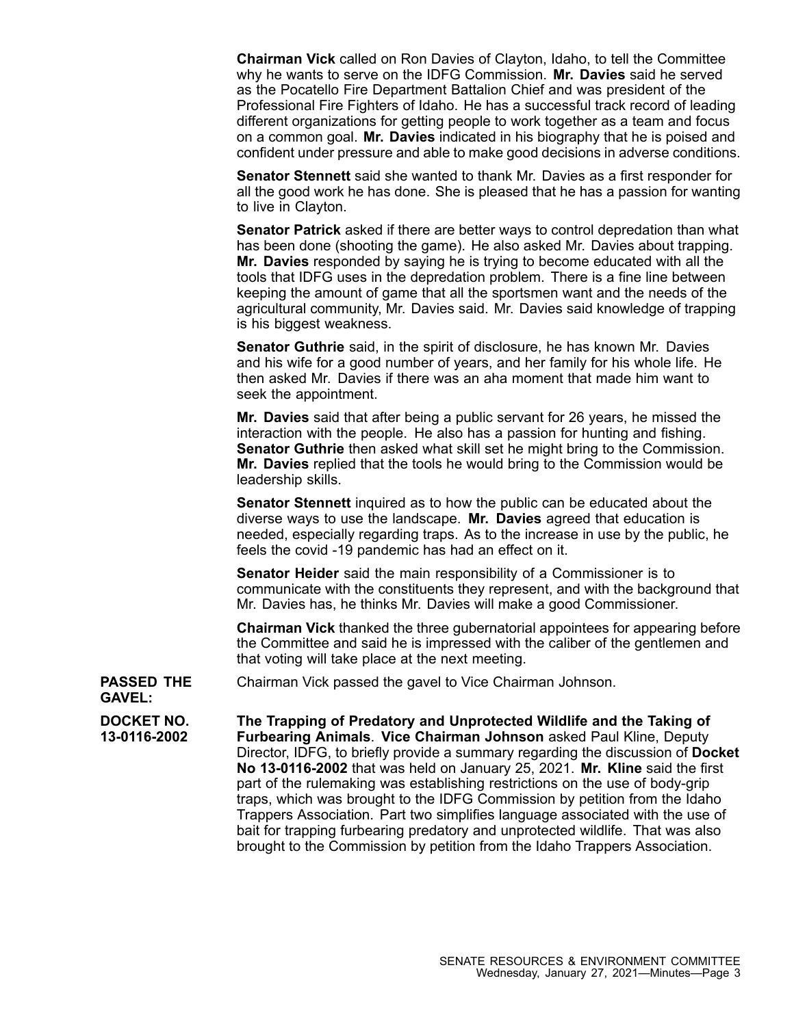**Chairman Vick** called on Ron Davies of Clayton, Idaho, to tell the Committee why he wants to serve on the IDFG Commission. **Mr. Davies** said he served as the Pocatello Fire Department Battalion Chief and was president of the Professional Fire Fighters of Idaho. He has <sup>a</sup> successful track record of leading different organizations for getting people to work together as <sup>a</sup> team and focus on <sup>a</sup> common goal. **Mr. Davies** indicated in his biography that he is poised and confident under pressure and able to make good decisions in adverse conditions.

**Senator Stennett** said she wanted to thank Mr. Davies as <sup>a</sup> first responder for all the good work he has done. She is pleased that he has <sup>a</sup> passion for wanting to live in Clayton.

**Senator Patrick** asked if there are better ways to control depredation than what has been done (shooting the game). He also asked Mr. Davies about trapping. **Mr. Davies** responded by saying he is trying to become educated with all the tools that IDFG uses in the depredation problem. There is <sup>a</sup> fine line between keeping the amount of game that all the sportsmen want and the needs of the agricultural community, Mr. Davies said. Mr. Davies said knowledge of trapping is his biggest weakness.

**Senator Guthrie** said, in the spirit of disclosure, he has known Mr. Davies and his wife for <sup>a</sup> good number of years, and her family for his whole life. He then asked Mr. Davies if there was an aha moment that made him want to seek the appointment.

**Mr. Davies** said that after being <sup>a</sup> public servant for 26 years, he missed the interaction with the people. He also has <sup>a</sup> passion for hunting and fishing. **Senator Guthrie** then asked what skill set he might bring to the Commission. **Mr. Davies** replied that the tools he would bring to the Commission would be leadership skills.

**Senator Stennett** inquired as to how the public can be educated about the diverse ways to use the landscape. **Mr. Davies** agreed that education is needed, especially regarding traps. As to the increase in use by the public, he feels the covid -19 pandemic has had an effect on it.

**Senator Heider** said the main responsibility of <sup>a</sup> Commissioner is to communicate with the constituents they represent, and with the background that Mr. Davies has, he thinks Mr. Davies will make <sup>a</sup> good Commissioner.

**Chairman Vick** thanked the three gubernatorial appointees for appearing before the Committee and said he is impressed with the caliber of the gentlemen and that voting will take place at the next meeting.

**PASSED THE** Chairman Vick passed the gavel to Vice Chairman Johnson.

**GAVEL:**

**DOCKET NO. 13-0116-2002 The Trapping of Predatory and Unprotected Wildlife and the Taking of Furbearing Animals**. **Vice Chairman Johnson** asked Paul Kline, Deputy Director, IDFG, to briefly provide <sup>a</sup> summary regarding the discussion of **Docket No 13-0116-2002** that was held on January 25, 2021. **Mr. Kline** said the first part of the rulemaking was establishing restrictions on the use of body-grip traps, which was brought to the IDFG Commission by petition from the Idaho Trappers Association. Part two simplifies language associated with the use of bait for trapping furbearing predatory and unprotected wildlife. That was also brought to the Commission by petition from the Idaho Trappers Association.